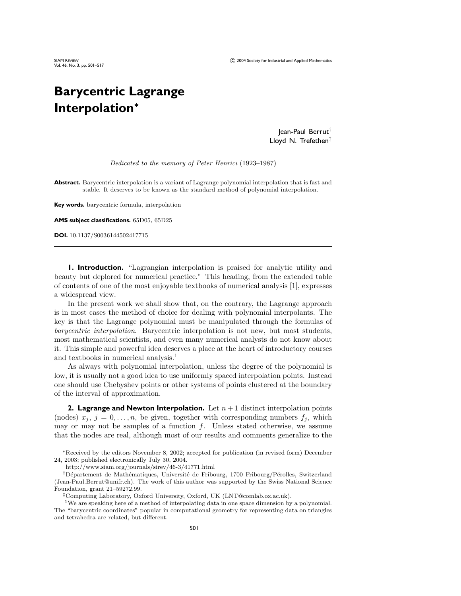# **Barycentric Lagrange Interpolation***<sup>∗</sup>*

Jean-Paul Berrut† Lloyd N. Trefethen‡

Dedicated to the memory of Peter Henrici (1923–1987)

**Abstract.** Barycentric interpolation is a variant of Lagrange polynomial interpolation that is fast and stable. It deserves to be known as the standard method of polynomial interpolation.

**Key words.** barycentric formula, interpolation

**AMS subject classifications.** 65D05, 65D25

**DOI.** 10.1137/S0036144502417715

**1. Introduction.** "Lagrangian interpolation is praised for analytic utility and beauty but deplored for numerical practice." This heading, from the extended table of contents of one of the most enjoyable textbooks of numerical analysis [1], expresses a widespread view.

In the present work we shall show that, on the contrary, the Lagrange approach is in most cases the method of choice for dealing with polynomial interpolants. The key is that the Lagrange polynomial must be manipulated through the formulas of barycentric interpolation. Barycentric interpolation is not new, but most students, most mathematical scientists, and even many numerical analysts do not knowabout it. This simple and powerful idea deserves a place at the heart of introductory courses and textbooks in numerical analysis.<sup>1</sup>

As always with polynomial interpolation, unless the degree of the polynomial is low, it is usually not a good idea to use uniformly spaced interpolation points. Instead one should use Chebyshev points or other systems of points clustered at the boundary of the interval of approximation.

**2. Lagrange and Newton Interpolation.** Let  $n + 1$  distinct interpolation points (nodes)  $x_j$ ,  $j = 0, \ldots, n$ , be given, together with corresponding numbers  $f_j$ , which may or may not be samples of a function  $f$ . Unless stated otherwise, we assume that the nodes are real, although most of our results and comments generalize to the

<sup>∗</sup>Received by the editors November 8, 2002; accepted for publication (in revised form) December 24, 2003; published electronically July 30, 2004.

http://www.siam.org/journals/sirev/46-3/41771.html

<sup>&</sup>lt;sup>†</sup>Département de Mathématiques, Université de Fribourg, 1700 Fribourg/Pérolles, Switzerland (Jean-Paul.Berrut@unifr.ch). The work of this author was supported by the Swiss National Science Foundation, grant 21–59272.99.

<sup>‡</sup>Computing Laboratory, Oxford University, Oxford, UK (LNT@comlab.ox.ac.uk).

<sup>1</sup>We are speaking here of a method of interpolating data in one space dimension by a polynomial. The "barycentric coordinates" popular in computational geometry for representing data on triangles and tetrahedra are related, but different.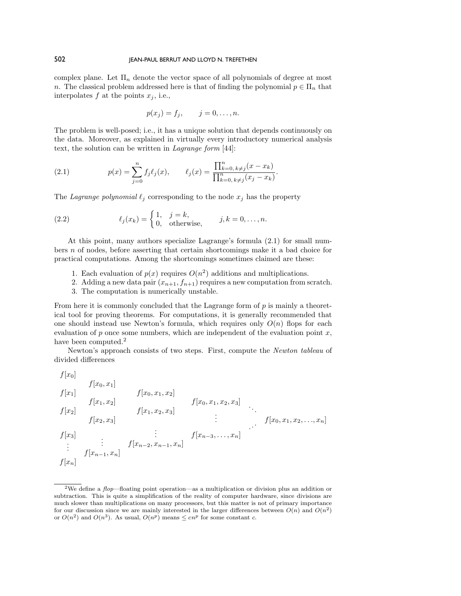complex plane. Let  $\Pi_n$  denote the vector space of all polynomials of degree at most n. The classical problem addressed here is that of finding the polynomial  $p \in \Pi_n$  that interpolates  $f$  at the points  $x_j$ , i.e.,

$$
p(x_j) = f_j, \qquad j = 0, \ldots, n.
$$

The problem is well-posed; i.e., it has a unique solution that depends continuously on the data. Moreover, as explained in virtually every introductory numerical analysis text, the solution can be written in Lagrange form [44]:

(2.1) 
$$
p(x) = \sum_{j=0}^{n} f_j \ell_j(x), \qquad \ell_j(x) = \frac{\prod_{k=0, k \neq j}^{n} (x - x_k)}{\prod_{k=0, k \neq j}^{n} (x_j - x_k)}.
$$

The Lagrange polynomial  $\ell_j$  corresponding to the node  $x_j$  has the property

(2.2) 
$$
\ell_j(x_k) = \begin{cases} 1, & j = k, \\ 0, & \text{otherwise,} \end{cases} \quad j, k = 0, \dots, n.
$$

At this point, many authors specialize Lagrange's formula (2.1) for small numbers n of nodes, before asserting that certain shortcomings make it a bad choice for practical computations. Among the shortcomings sometimes claimed are these:

- 1. Each evaluation of  $p(x)$  requires  $O(n^2)$  additions and multiplications.
- 2. Adding a new data pair  $(x_{n+1}, f_{n+1})$  requires a new computation from scratch.
- 3. The computation is numerically unstable.

From here it is commonly concluded that the Lagrange form of  $p$  is mainly a theoretical tool for proving theorems. For computations, it is generally recommended that one should instead use Newton's formula, which requires only  $O(n)$  flops for each evaluation of  $p$  once some numbers, which are independent of the evaluation point  $x$ , have been computed.<sup>2</sup>

Newton's approach consists of two steps. First, compute the Newton tableau of divided differences

$$
f[x_0]
$$
\n
$$
f[x_1]
$$
\n
$$
f[x_1, x_2]
$$
\n
$$
f[x_1, x_2]
$$
\n
$$
f[x_2, x_3]
$$
\n
$$
f[x_3]
$$
\n
$$
f[x_{n-1}, x_n]
$$
\n
$$
f[x_{n-2}, x_{n-1}, x_n]
$$
\n
$$
f[x_{n-1}, x_n]
$$
\n
$$
f[x_{n-1}, x_n]
$$
\n
$$
f[x_{n-2}, x_{n-1}, x_n]
$$
\n
$$
f[x_{n-1}, x_n]
$$
\n
$$
f[x_{n-1}, x_n]
$$
\n
$$
f[x_{n-2}, x_{n-1}, x_n]
$$

<sup>&</sup>lt;sup>2</sup>We define a  $flop$ —floating point operation—as a multiplication or division plus an addition or subtraction. This is quite a simplification of the reality of computer hardware, since divisions are much slower than multiplications on many processors, but this matter is not of primary importance for our discussion since we are mainly interested in the larger differences between  $O(n)$  and  $O(n^2)$ or  $O(n^2)$  and  $O(n^3)$ . As usual,  $O(n^p)$  means  $\leq cn^p$  for some constant c.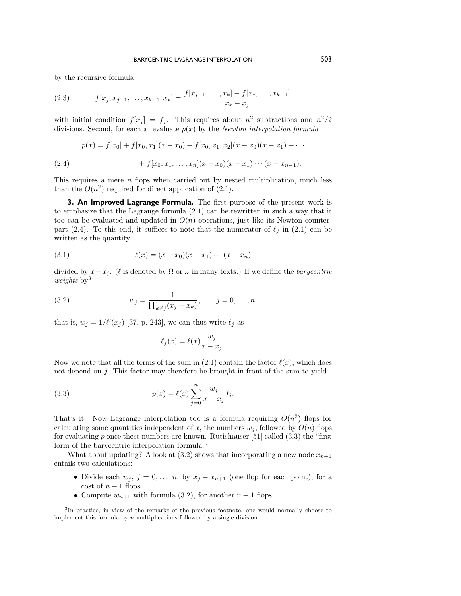by the recursive formula

(2.3) 
$$
f[x_j, x_{j+1}, \dots, x_{k-1}, x_k] = \frac{f[x_{j+1}, \dots, x_k] - f[x_j, \dots, x_{k-1}]}{x_k - x_j}
$$

with initial condition  $f[x_j] = f_j$ . This requires about  $n^2$  subtractions and  $n^2/2$ divisions. Second, for each x, evaluate  $p(x)$  by the Newton interpolation formula

$$
p(x) = f[x_0] + f[x_0, x_1](x - x_0) + f[x_0, x_1, x_2](x - x_0)(x - x_1) + \cdots
$$
  
(2.4) 
$$
+ f[x_0, x_1, \ldots, x_n](x - x_0)(x - x_1) \cdots (x - x_{n-1}).
$$

This requires a mere n flops when carried out by nested multiplication, much less than the  $O(n^2)$  required for direct application of  $(2.1)$ .

**3. An Improved Lagrange Formula.** The first purpose of the present work is to emphasize that the Lagrange formula (2.1) can be rewritten in such a way that it too can be evaluated and updated in  $O(n)$  operations, just like its Newton counterpart (2.4). To this end, it suffices to note that the numerator of  $\ell_i$  in (2.1) can be written as the quantity

(3.1) 
$$
\ell(x) = (x - x_0)(x - x_1) \cdots (x - x_n)
$$

divided by  $x-x_j$ . ( $\ell$  is denoted by  $\Omega$  or  $\omega$  in many texts.) If we define the *barycentric* weights  $by<sup>3</sup>$ 

(3.2) 
$$
w_j = \frac{1}{\prod_{k \neq j} (x_j - x_k)}, \qquad j = 0, ..., n,
$$

that is,  $w_j = 1/\ell'(x_j)$  [37, p. 243], we can thus write  $\ell_j$  as

$$
\ell_j(x) = \ell(x) \frac{w_j}{x - x_j}.
$$

Now we note that all the terms of the sum in (2.1) contain the factor  $\ell(x)$ , which does not depend on j. This factor may therefore be brought in front of the sum to yield

(3.3) 
$$
p(x) = \ell(x) \sum_{j=0}^{n} \frac{w_j}{x - x_j} f_j.
$$

That's it! Now Lagrange interpolation too is a formula requiring  $O(n^2)$  flops for calculating some quantities independent of x, the numbers  $w_i$ , followed by  $O(n)$  flops for evaluating p once these numbers are known. Rutishauser [51] called  $(3.3)$  the "first form of the barycentric interpolation formula."

What about updating? A look at (3.2) shows that incorporating a new node  $x_{n+1}$ entails two calculations:

- Divide each  $w_j$ ,  $j = 0, \ldots, n$ , by  $x_j x_{n+1}$  (one flop for each point), for a cost of  $n+1$  flops.
- Compute  $w_{n+1}$  with formula (3.2), for another  $n+1$  flops.

<sup>3</sup>In practice, in view of the remarks of the previous footnote, one would normally choose to implement this formula by  $n$  multiplications followed by a single division.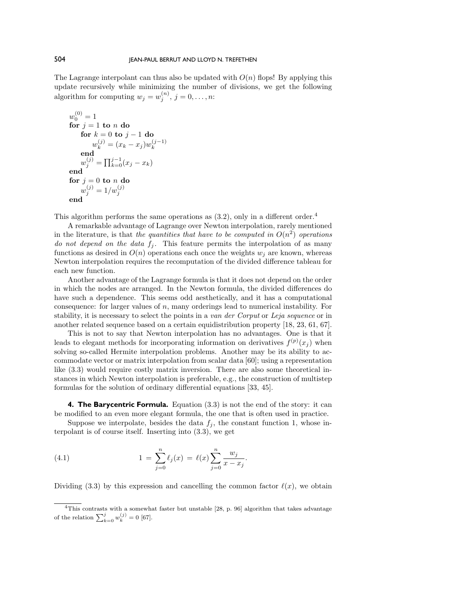The Lagrange interpolant can thus also be updated with  $O(n)$  flops! By applying this update recursively while minimizing the number of divisions, we get the following algorithm for computing  $w_j = w_j^{(n)}$ ,  $j = 0, \ldots, n$ :

$$
w_0^{(0)} = 1
$$
  
for  $j = 1$  to *n* do  
for  $k = 0$  to  $j - 1$  do  

$$
w_k^{(j)} = (x_k - x_j)w_k^{(j-1)}
$$
  
end  

$$
w_j^{(j)} = \prod_{k=0}^{j-1} (x_j - x_k)
$$
  
end  
for  $j = 0$  to *n* do  

$$
w_j^{(j)} = 1/w_j^{(j)}
$$
  
end

This algorithm performs the same operations as  $(3.2)$ , only in a different order.<sup>4</sup>

A remarkable advantage of Lagrange over Newton interpolation, rarely mentioned in the literature, is that the quantities that have to be computed in  $O(n^2)$  operations do not depend on the data  $f_i$ . This feature permits the interpolation of as many functions as desired in  $O(n)$  operations each once the weights  $w_i$  are known, whereas Newton interpolation requires the recomputation of the divided difference tableau for each new function.

Another advantage of the Lagrange formula is that it does not depend on the order in which the nodes are arranged. In the Newton formula, the divided differences do have such a dependence. This seems odd aesthetically, and it has a computational consequence: for larger values of n, many orderings lead to numerical instability. For stability, it is necessary to select the points in a van der Corput or Leja sequence or in another related sequence based on a certain equidistribution property [18, 23, 61, 67].

This is not to say that Newton interpolation has no advantages. One is that it leads to elegant methods for incorporating information on derivatives  $f^{(p)}(x_j)$  when solving so-called Hermite interpolation problems. Another may be its ability to accommodate vector or matrix interpolation from scalar data [60]; using a representation like (3.3) would require costly matrix inversion. There are also some theoretical instances in which Newton interpolation is preferable, e.g., the construction of multistep formulas for the solution of ordinary differential equations [33, 45].

**4. The Barycentric Formula.** Equation (3.3) is not the end of the story: it can be modified to an even more elegant formula, the one that is often used in practice.

Suppose we interpolate, besides the data  $f_i$ , the constant function 1, whose interpolant is of course itself. Inserting into (3.3), we get

(4.1) 
$$
1 = \sum_{j=0}^{n} \ell_j(x) = \ell(x) \sum_{j=0}^{n} \frac{w_j}{x - x_j}.
$$

Dividing (3.3) by this expression and cancelling the common factor  $\ell(x)$ , we obtain

<sup>&</sup>lt;sup>4</sup>This contrasts with a somewhat faster but unstable  $[28, p. 96]$  algorithm that takes advantage of the relation  $\sum_{k=0}^{j} w_k^{(j)} = 0$  [67].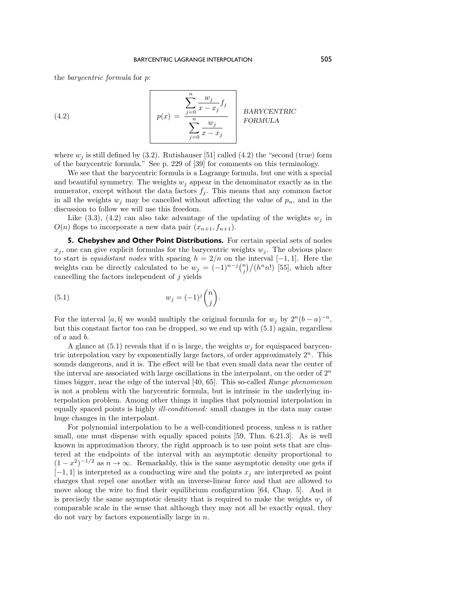the barycentric formula for p:

(4.2) 
$$
p(x) = \frac{\sum_{j=0}^{n} \frac{w_j}{x - x_j} f_j}{\sum_{j=0}^{n} \frac{w_j}{x - x_j}} \quad \text{BARYCENTRIC} \quad \text{FORMULA}
$$

where  $w_j$  is still defined by (3.2). Rutishauser [51] called (4.2) the "second (true) form of the barycentric formula." See p. 229 of [39] for comments on this terminology.

We see that the barycentric formula is a Lagrange formula, but one with a special and beautiful symmetry. The weights  $w_i$  appear in the denominator exactly as in the numerator, except without the data factors  $f_i$ . This means that any common factor in all the weights  $w_j$  may be cancelled without affecting the value of  $p_n$ , and in the discussion to follow we will use this freedom.

Like  $(3.3)$ ,  $(4.2)$  can also take advantage of the updating of the weights  $w_j$  in  $O(n)$  flops to incorporate a new data pair  $(x_{n+1}, f_{n+1})$ .

**5. Chebyshev and Other Point Distributions.** For certain special sets of nodes  $x_i$ , one can give explicit formulas for the barycentric weights  $w_i$ . The obvious place to start is equidistant nodes with spacing  $h = 2/n$  on the interval [-1, 1]. Here the weights can be directly calculated to be  $w_j = (-1)^{n-j} {n \choose j} / (h^n n!)$  [55], which after cancelling the factors independent of  $j$  yields

(5.1) 
$$
w_j = (-1)^j \binom{n}{j}.
$$

For the interval [a, b] we would multiply the original formula for  $w_i$  by  $2^n(b-a)^{-n}$ , but this constant factor too can be dropped, so we end up with (5.1) again, regardless of a and b.

A glance at  $(5.1)$  reveals that if n is large, the weights  $w<sub>j</sub>$  for equispaced barycentric interpolation vary by exponentially large factors, of order approximately  $2^n$ . This sounds dangerous, and it is. The effect will be that even small data near the center of the interval are associated with large oscillations in the interpolant, on the order of  $2^n$ times bigger, near the edge of the interval [40, 65]. This so-called *Runge phenomenon* is not a problem with the barycentric formula, but is intrinsic in the underlying interpolation problem. Among other things it implies that polynomial interpolation in equally spaced points is highly ill-conditioned: small changes in the data may cause huge changes in the interpolant.

For polynomial interpolation to be a well-conditioned process, unless  $n$  is rather small, one must dispense with equally spaced points [59, Thm. 6.21.3]. As is well known in approximation theory, the right approach is to use point sets that are clustered at the endpoints of the interval with an asymptotic density proportional to  $(1-x^2)^{-1/2}$  as  $n \to \infty$ . Remarkably, this is the same asymptotic density one gets if  $[-1, 1]$  is interpreted as a conducting wire and the points  $x_j$  are interpreted as point charges that repel one another with an inverse-linear force and that are allowed to move along the wire to find their equilibrium configuration [64, Chap. 5]. And it is precisely the same asymptotic density that is required to make the weights  $w_i$  of comparable scale in the sense that although they may not all be exactly equal, they do not vary by factors exponentially large in  $n$ .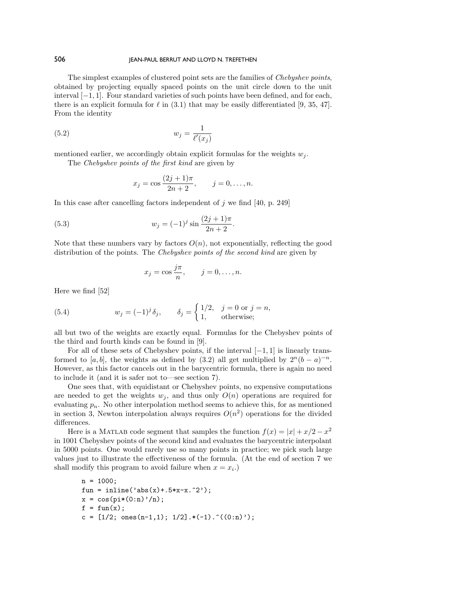The simplest examples of clustered point sets are the families of Chebyshev points, obtained by projecting equally spaced points on the unit circle down to the unit interval [−1, 1]. Four standard varieties of such points have been defined, and for each, there is an explicit formula for  $\ell$  in (3.1) that may be easily differentiated [9, 35, 47]. From the identity

$$
(5.2) \t\t w_j = \frac{1}{\ell'(x_j)}
$$

mentioned earlier, we accordingly obtain explicit formulas for the weights  $w_i$ .

The Chebyshev points of the first kind are given by

$$
x_j = \cos \frac{(2j+1)\pi}{2n+2}, \qquad j = 0, \dots, n.
$$

In this case after cancelling factors independent of  $j$  we find [40, p. 249]

(5.3) 
$$
w_j = (-1)^j \sin \frac{(2j+1)\pi}{2n+2}.
$$

Note that these numbers vary by factors  $O(n)$ , not exponentially, reflecting the good distribution of the points. The Chebyshev points of the second kind are given by

$$
x_j = \cos \frac{j\pi}{n}, \qquad j = 0, \dots, n.
$$

Here we find [52]

(5.4) 
$$
w_j = (-1)^j \delta_j, \qquad \delta_j = \begin{cases} 1/2, & j = 0 \text{ or } j = n, \\ 1, & \text{otherwise}; \end{cases}
$$

all but two of the weights are exactly equal. Formulas for the Chebyshev points of the third and fourth kinds can be found in [9].

For all of these sets of Chebyshev points, if the interval  $[-1, 1]$  is linearly transformed to [a, b], the weights as defined by (3.2) all get multiplied by  $2^{n}(b - a)^{-n}$ . However, as this factor cancels out in the barycentric formula, there is again no need to include it (and it is safer not to—see section 7).

One sees that, with equidistant or Chebyshev points, no expensive computations are needed to get the weights  $w_i$ , and thus only  $O(n)$  operations are required for evaluating  $p_n$ . No other interpolation method seems to achieve this, for as mentioned in section 3, Newton interpolation always requires  $O(n^2)$  operations for the divided differences.

Here is a MATLAB code segment that samples the function  $f(x) = |x| + x/2 - x^2$ in 1001 Chebyshev points of the second kind and evaluates the barycentric interpolant in 5000 points. One would rarely use so many points in practice; we pick such large values just to illustrate the effectiveness of the formula. (At the end of section 7 we shall modify this program to avoid failure when  $x = x_i$ .

n = 1000; fun = inline('abs(x)+.5\*x-x.ˆ2'); x = cos(pi\*(0:n)'/n); f = fun(x); c = [1/2; ones(n-1,1); 1/2].\*(-1).ˆ((0:n)');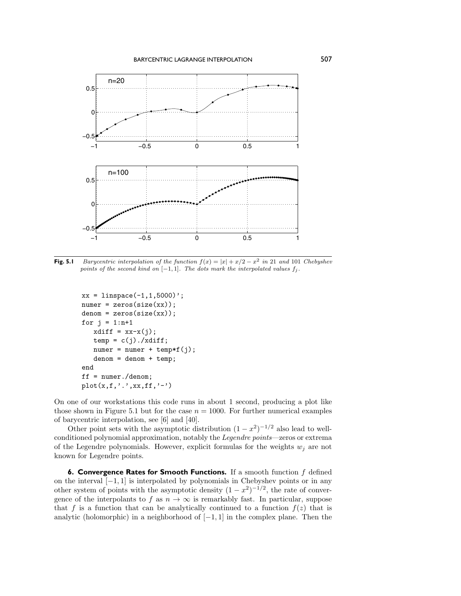

**Fig. 5.1** Barycentric interpolation of the function  $f(x) = |x| + x/2 - x^2$  in 21 and 101 Chebyshev points of the second kind on  $[-1, 1]$ . The dots mark the interpolated values  $f_j$ .

```
xx = 1inspace(-1, 1, 5000)';
numer = zeros(size(xx));denom = zeros(size(xx));for j = 1:n+1xdiff = xx-x(j);temp = c(j)./xdiff;
   numer = numer + temp*f(j);denom = denom + temp;
end
ff = numer./denom;
plot(x, f, ', ', xx, ff, '-'')
```
On one of our workstations this code runs in about 1 second, producing a plot like those shown in Figure 5.1 but for the case  $n = 1000$ . For further numerical examples of barycentric interpolation, see [6] and [40].

Other point sets with the asymptotic distribution  $(1 - x^2)^{-1/2}$  also lead to wellconditioned polynomial approximation, notably the Legendre points—zeros or extrema of the Legendre polynomials. However, explicit formulas for the weights  $w_j$  are not known for Legendre points.

**6. Convergence Rates for Smooth Functions.** If a smooth function f defined on the interval [−1, 1] is interpolated by polynomials in Chebyshev points or in any other system of points with the asymptotic density  $(1 - x^2)^{-1/2}$ , the rate of convergence of the interpolants to f as  $n \to \infty$  is remarkably fast. In particular, suppose that f is a function that can be analytically continued to a function  $f(z)$  that is analytic (holomorphic) in a neighborhood of  $[-1, 1]$  in the complex plane. Then the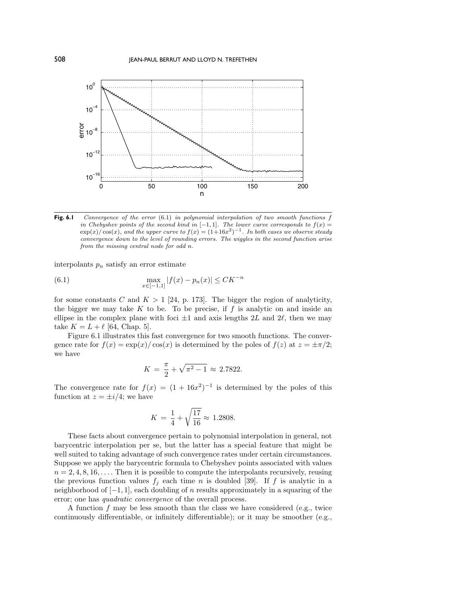

**Fig. 6.1** Convergence of the error (6.1) in polynomial interpolation of two smooth functions f in Chebyshev points of the second kind in  $[-1, 1]$ . The lower curve corresponds to  $f(x) =$  $\exp(x)/\cos(x)$ , and the upper curve to  $f(x) = (1+16x^2)^{-1}$ . In both cases we observe steady convergence down to the level of rounding errors. The wiggles in the second function arise from the missing central node for odd n.

interpolants  $p_n$  satisfy an error estimate

(6.1) 
$$
\max_{x \in [-1,1]} |f(x) - p_n(x)| \leq C K^{-n}
$$

for some constants C and  $K > 1$  [24, p. 173]. The bigger the region of analyticity, the bigger we may take  $K$  to be. To be precise, if  $f$  is analytic on and inside an ellipse in the complex plane with foci  $\pm 1$  and axis lengths 2L and 2l, then we may take  $K = L + \ell$  [64, Chap. 5].

Figure 6.1 illustrates this fast convergence for two smooth functions. The convergence rate for  $f(x) = \exp(x)/\cos(x)$  is determined by the poles of  $f(z)$  at  $z = \pm \pi/2$ ; we have

$$
K = \frac{\pi}{2} + \sqrt{\pi^2 - 1} \approx 2.7822.
$$

The convergence rate for  $f(x) = (1 + 16x^2)^{-1}$  is determined by the poles of this function at  $z = \pm i/4$ ; we have

$$
K = \frac{1}{4} + \sqrt{\frac{17}{16}} \approx 1.2808.
$$

These facts about convergence pertain to polynomial interpolation in general, not barycentric interpolation per se, but the latter has a special feature that might be well suited to taking advantage of such convergence rates under certain circumstances. Suppose we apply the barycentric formula to Chebyshev points associated with values  $n = 2, 4, 8, 16, \ldots$ . Then it is possible to compute the interpolants recursively, reusing the previous function values  $f_j$  each time n is doubled [39]. If f is analytic in a neighborhood of  $[-1, 1]$ , each doubling of n results approximately in a squaring of the error; one has quadratic convergence of the overall process.

A function  $f$  may be less smooth than the class we have considered (e.g., twice continuously differentiable, or infinitely differentiable); or it may be smoother (e.g.,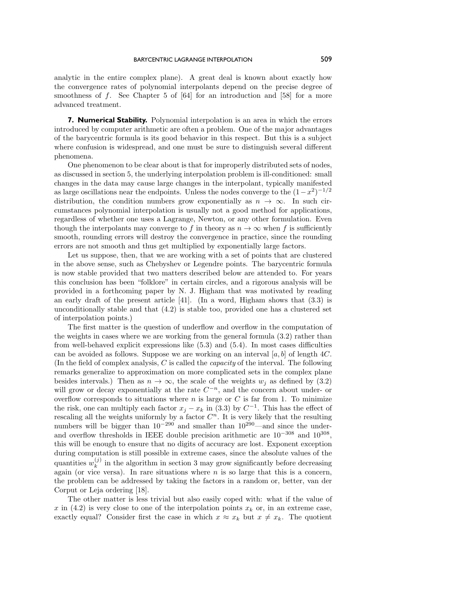analytic in the entire complex plane). A great deal is known about exactly how the convergence rates of polynomial interpolants depend on the precise degree of smoothness of  $f$ . See Chapter 5 of  $[64]$  for an introduction and  $[58]$  for a more advanced treatment.

**7. Numerical Stability.** Polynomial interpolation is an area in which the errors introduced by computer arithmetic are often a problem. One of the major advantages of the barycentric formula is its good behavior in this respect. But this is a subject where confusion is widespread, and one must be sure to distinguish several different phenomena.

One phenomenon to be clear about is that for improperly distributed sets of nodes, as discussed in section 5, the underlying interpolation problem is ill-conditioned: small changes in the data may cause large changes in the interpolant, typically manifested as large oscillations near the endpoints. Unless the nodes converge to the  $(1-x^2)^{-1/2}$ distribution, the condition numbers grow exponentially as  $n \to \infty$ . In such circumstances polynomial interpolation is usually not a good method for applications, regardless of whether one uses a Lagrange, Newton, or any other formulation. Even though the interpolants may converge to f in theory as  $n \to \infty$  when f is sufficiently smooth, rounding errors will destroy the convergence in practice, since the rounding errors are not smooth and thus get multiplied by exponentially large factors.

Let us suppose, then, that we are working with a set of points that are clustered in the above sense, such as Chebyshev or Legendre points. The barycentric formula is nowstable provided that two matters described beloware attended to. For years this conclusion has been "folklore" in certain circles, and a rigorous analysis will be provided in a forthcoming paper by N. J. Higham that was motivated by reading an early draft of the present article  $[41]$ . (In a word, Higham shows that  $(3.3)$ ) is unconditionally stable and that (4.2) is stable too, provided one has a clustered set of interpolation points.)

The first matter is the question of underflow and overflow in the computation of the weights in cases where we are working from the general formula (3.2) rather than from well-behaved explicit expressions like (5.3) and (5.4). In most cases difficulties can be avoided as follows. Suppose we are working on an interval  $[a, b]$  of length 4C. (In the field of complex analysis,  $C$  is called the *capacity* of the interval. The following remarks generalize to approximation on more complicated sets in the complex plane besides intervals.) Then as  $n \to \infty$ , the scale of the weights  $w_j$  as defined by (3.2) will grow or decay exponentially at the rate  $C^{-n}$ , and the concern about under- or overflow corresponds to situations where n is large or  $C$  is far from 1. To minimize the risk, one can multiply each factor  $x_j - x_k$  in (3.3) by  $C^{-1}$ . This has the effect of rescaling all the weights uniformly by a factor  $C<sup>n</sup>$ . It is very likely that the resulting numbers will be bigger than  $10^{-290}$  and smaller than  $10^{290}$ —and since the underand overflow thresholds in IEEE double precision arithmetic are  $10^{-308}$  and  $10^{308}$ , this will be enough to ensure that no digits of accuracy are lost. Exponent exception during computation is still possible in extreme cases, since the absolute values of the quantities  $w_k^{(j)}$  in the algorithm in section 3 may grow significantly before decreasing again (or vice versa). In rare situations where  $n$  is so large that this is a concern, the problem can be addressed by taking the factors in a random or, better, van der Corput or Leja ordering [18].

The other matter is less trivial but also easily coped with: what if the value of x in (4.2) is very close to one of the interpolation points  $x_k$  or, in an extreme case, exactly equal? Consider first the case in which  $x \approx x_k$  but  $x \neq x_k$ . The quotient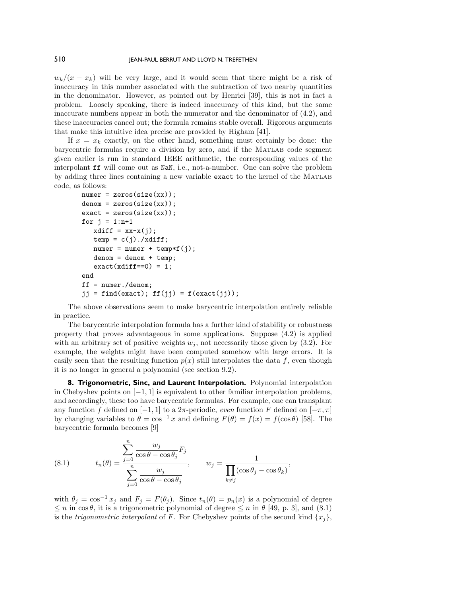$w_k/(x-x_k)$  will be very large, and it would seem that there might be a risk of inaccuracy in this number associated with the subtraction of two nearby quantities in the denominator. However, as pointed out by Henrici [39], this is not in fact a problem. Loosely speaking, there is indeed inaccuracy of this kind, but the same inaccurate numbers appear in both the numerator and the denominator of  $(4.2)$ , and these inaccuracies cancel out; the formula remains stable overall. Rigorous arguments that make this intuitive idea precise are provided by Higham [41].

If  $x = x_k$  exactly, on the other hand, something must certainly be done: the barycentric formulas require a division by zero, and if the Matlab code segment given earlier is run in standard IEEE arithmetic, the corresponding values of the interpolant ff will come out as NaN, i.e., not-a-number. One can solve the problem by adding three lines containing a newvariable exact to the kernel of the Matlab code, as follows:

```
numer = zeros(size(xx));denom = zeros(size(xx));exact = zeros(size(xx));for j = 1:n+1xdiff = xx-x(j);temp = c(j)./xdiff;
  numer = numer + temp*f(j);denom = denom + temp;exact(xdiff==0) = 1;end
ff = number./denom;jj = find(exact); ff(j) = f(exact(j));
```
The above observations seem to make barycentric interpolation entirely reliable in practice.

The barycentric interpolation formula has a further kind of stability or robustness property that proves advantageous in some applications. Suppose (4.2) is applied with an arbitrary set of positive weights  $w_j$ , not necessarily those given by (3.2). For example, the weights might have been computed somehow with large errors. It is easily seen that the resulting function  $p(x)$  still interpolates the data f, even though it is no longer in general a polynomial (see section 9.2).

**8. Trigonometric, Sinc, and Laurent Interpolation.** Polynomial interpolation in Chebyshev points on  $[-1, 1]$  is equivalent to other familiar interpolation problems, and accordingly, these too have barycentric formulas. For example, one can transplant any function f defined on [−1, 1] to a  $2\pi$ -periodic, *even* function F defined on [− $\pi$ ,  $\pi$ ] by changing variables to  $\theta = \cos^{-1} x$  and defining  $F(\theta) = f(x) = f(\cos \theta)$  [58]. The barycentric formula becomes [9]

(8.1) 
$$
t_n(\theta) = \frac{\sum_{j=0}^n \frac{w_j}{\cos \theta - \cos \theta_j} F_j}{\sum_{j=0}^n \frac{w_j}{\cos \theta - \cos \theta_j}}, \qquad w_j = \frac{1}{\prod_{k \neq j} (\cos \theta_j - \cos \theta_k)},
$$

n

with  $\theta_j = \cos^{-1} x_j$  and  $F_j = F(\theta_j)$ . Since  $t_n(\theta) = p_n(x)$  is a polynomial of degree  $\leq n$  in cos $\theta$ , it is a trigonometric polynomial of degree  $\leq n$  in  $\theta$  [49, p. 3], and (8.1) is the *trigonometric interpolant* of F. For Chebyshev points of the second kind  $\{x_i\}$ ,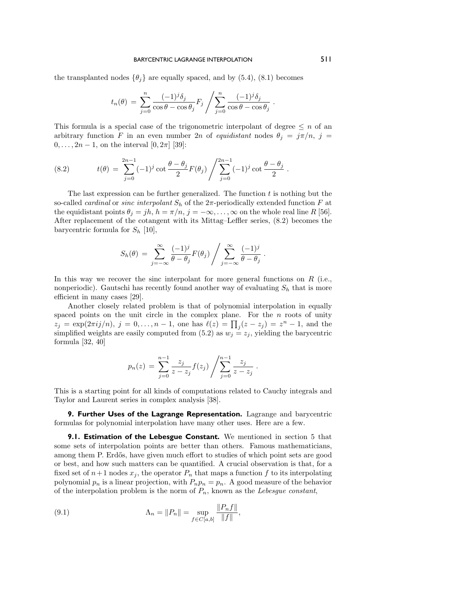the transplanted nodes  $\{\theta_j\}$  are equally spaced, and by (5.4), (8.1) becomes

$$
t_n(\theta) = \sum_{j=0}^n \frac{(-1)^j \delta_j}{\cos \theta - \cos \theta_j} F_j / \sum_{j=0}^n \frac{(-1)^j \delta_j}{\cos \theta - \cos \theta_j}.
$$

This formula is a special case of the trigonometric interpolant of degree  $\leq n$  of an arbitrary function F in an even number 2n of equidistant nodes  $\theta_j = j\pi/n$ ,  $j =$  $0, \ldots, 2n - 1$ , on the interval  $[0, 2\pi]$  [39]:

(8.2) 
$$
t(\theta) = \sum_{j=0}^{2n-1} (-1)^j \cot \frac{\theta - \theta_j}{2} F(\theta_j) / \sum_{j=0}^{2n-1} (-1)^j \cot \frac{\theta - \theta_j}{2}.
$$

The last expression can be further generalized. The function  $t$  is nothing but the so-called *cardinal* or *sinc interpolant*  $S_h$  of the  $2\pi$ -periodically extended function F at the equidistant points  $\theta_j = jh, h = \pi/n, j = -\infty, \ldots, \infty$  on the whole real line R [56]. After replacement of the cotangent with its Mittag–Leffler series, (8.2) becomes the barycentric formula for  $S_h$  [10],

$$
S_h(\theta) = \sum_{j=-\infty}^{\infty} \frac{(-1)^j}{\theta - \theta_j} F(\theta_j) / \sum_{j=-\infty}^{\infty} \frac{(-1)^j}{\theta - \theta_j}.
$$

In this way we recover the sinc interpolant for more general functions on  $R$  (i.e., nonperiodic). Gautschi has recently found another way of evaluating  $S_h$  that is more efficient in many cases [29].

Another closely related problem is that of polynomial interpolation in equally spaced points on the unit circle in the complex plane. For the  $n$  roots of unity  $z_j = \exp(2\pi i j/n), j = 0, \ldots, n-1$ , one has  $\ell(z) = \prod_j (z - z_j) = z^n - 1$ , and the simplified weights are easily computed from (5.2) as  $w_j = z_j$ , yielding the barycentric formula [32, 40]

$$
p_n(z) = \sum_{j=0}^{n-1} \frac{z_j}{z - z_j} f(z_j) / \sum_{j=0}^{n-1} \frac{z_j}{z - z_j} .
$$

This is a starting point for all kinds of computations related to Cauchy integrals and Taylor and Laurent series in complex analysis [38].

**9. Further Uses of the Lagrange Representation.** Lagrange and barycentric formulas for polynomial interpolation have many other uses. Here are a few.

**9.1. Estimation of the Lebesgue Constant.** We mentioned in section 5 that some sets of interpolation points are better than others. Famous mathematicians, among them P. Erdős, have given much effort to studies of which point sets are good or best, and howsuch matters can be quantified. A crucial observation is that, for a fixed set of  $n+1$  nodes  $x_j$ , the operator  $P_n$  that maps a function f to its interpolating polynomial  $p_n$  is a linear projection, with  $P_np_n = p_n$ . A good measure of the behavior of the interpolation problem is the norm of  $P_n$ , known as the Lebesgue constant,

(9.1) 
$$
\Lambda_n = \|P_n\| = \sup_{f \in C[a,b]} \frac{\|P_n f\|}{\|f\|},
$$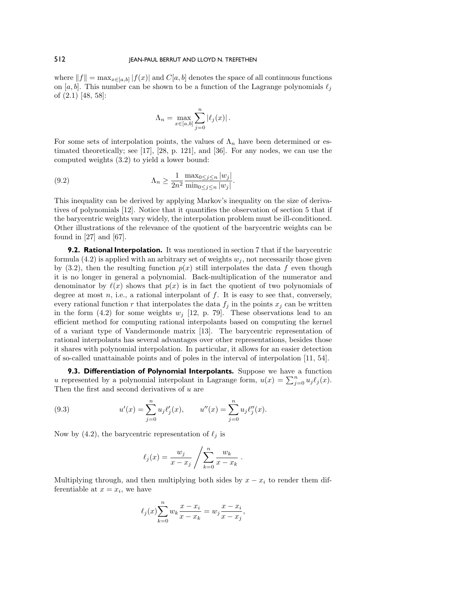where  $||f|| = \max_{x \in [a,b]} |f(x)|$  and  $C[a,b]$  denotes the space of all continuous functions on [a, b]. This number can be shown to be a function of the Lagrange polynomials  $\ell_j$ of (2.1) [48, 58]:

$$
\Lambda_n = \max_{x \in [a,b]} \sum_{j=0}^n |\ell_j(x)|.
$$

For some sets of interpolation points, the values of  $\Lambda_n$  have been determined or estimated theoretically; see [17], [28, p. 121], and [36]. For any nodes, we can use the computed weights (3.2) to yield a lower bound:

(9.2) 
$$
\Lambda_n \ge \frac{1}{2n^2} \frac{\max_{0 \le j \le n} |w_j|}{\min_{0 \le j \le n} |w_j|}.
$$

This inequality can be derived by applying Markov's inequality on the size of derivatives of polynomials [12]. Notice that it quantifies the observation of section 5 that if the barycentric weights vary widely, the interpolation problem must be ill-conditioned. Other illustrations of the relevance of the quotient of the barycentric weights can be found in  $[27]$  and  $[67]$ .

**9.2. Rational Interpolation.** It was mentioned in section 7 that if the barycentric formula  $(4.2)$  is applied with an arbitrary set of weights  $w<sub>i</sub>$ , not necessarily those given by (3.2), then the resulting function  $p(x)$  still interpolates the data f even though it is no longer in general a polynomial. Back-multiplication of the numerator and denominator by  $\ell(x)$  shows that  $p(x)$  is in fact the quotient of two polynomials of degree at most  $n$ , i.e., a rational interpolant of  $f$ . It is easy to see that, conversely, every rational function r that interpolates the data  $f_j$  in the points  $x_j$  can be written in the form (4.2) for some weights  $w_j$  [12, p. 79]. These observations lead to an efficient method for computing rational interpolants based on computing the kernel of a variant type of Vandermonde matrix [13]. The barycentric representation of rational interpolants has several advantages over other representations, besides those it shares with polynomial interpolation. In particular, it allows for an easier detection of so-called unattainable points and of poles in the interval of interpolation [11, 54].

**9.3. Differentiation of Polynomial Interpolants.** Suppose we have a function u represented by a polynomial interpolant in Lagrange form,  $u(x) = \sum_{j=0}^{n} u_j \ell_j(x)$ . Then the first and second derivatives of  $u$  are

(9.3) 
$$
u'(x) = \sum_{j=0}^{n} u_j \ell'_j(x), \qquad u''(x) = \sum_{j=0}^{n} u_j \ell''_j(x).
$$

Now by (4.2), the barycentric representation of  $\ell_j$  is

$$
\ell_j(x) = \frac{w_j}{x - x_j} / \sum_{k=0}^n \frac{w_k}{x - x_k} .
$$

Multiplying through, and then multiplying both sides by  $x - x_i$  to render them differentiable at  $x = x_i$ , we have

$$
\ell_j(x) \sum_{k=0}^{n} w_k \frac{x - x_i}{x - x_k} = w_j \frac{x - x_i}{x - x_j},
$$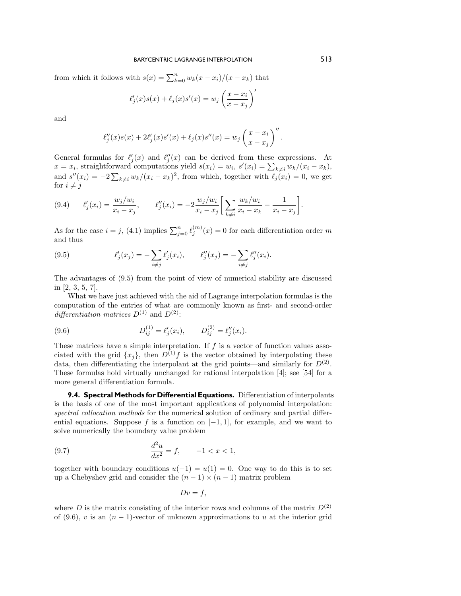from which it follows with  $s(x) = \sum_{k=0}^{n} w_k(x - x_i)/(x - x_k)$  that

$$
\ell'_j(x)s(x) + \ell_j(x)s'(x) = w_j \left(\frac{x - x_i}{x - x_j}\right)'
$$

and

$$
\ell''_j(x)s(x) + 2\ell'_j(x)s'(x) + \ell_j(x)s''(x) = w_j \left(\frac{x - x_i}{x - x_j}\right)''.
$$

General formulas for  $\ell'_j(x)$  and  $\ell''_j(x)$  can be derived from these expressions. At  $x = x_i$ , straightforward computations yield  $s(x_i) = w_i$ ,  $s'(x_i) = \sum_{k \neq i} w_k/(x_i - x_k)$ , and  $s''(x_i) = -2\sum_{k\neq i} w_k/(x_i - x_k)^2$ , from which, together with  $\ell_j(x_i) = 0$ , we get for  $i \neq j$ 

$$
(9.4) \qquad \ell'_j(x_i) = \frac{w_j/w_i}{x_i - x_j}, \qquad \ell''_j(x_i) = -2\frac{w_j/w_i}{x_i - x_j} \left[ \sum_{k \neq i} \frac{w_k/w_i}{x_i - x_k} - \frac{1}{x_i - x_j} \right].
$$

As for the case  $i = j$ , (4.1) implies  $\sum_{j=0}^{n} \ell_j^{(m)}(x) = 0$  for each differentiation order m and thus

(9.5) 
$$
\ell'_j(x_j) = -\sum_{i \neq j} \ell'_j(x_i), \qquad \ell''_j(x_j) = -\sum_{i \neq j} \ell''_j(x_i).
$$

The advantages of (9.5) from the point of viewof numerical stability are discussed in [2, 3, 5, 7].

What we have just achieved with the aid of Lagrange interpolation formulas is the computation of the entries of what are commonly known as first- and second-order differentiation matrices  $D^{(1)}$  and  $D^{(2)}$ :

(9.6) 
$$
D_{ij}^{(1)} = \ell'_j(x_i), \qquad D_{ij}^{(2)} = \ell''_j(x_i).
$$

These matrices have a simple interpretation. If  $f$  is a vector of function values associated with the grid  $\{x_i\}$ , then  $D^{(1)}f$  is the vector obtained by interpolating these data, then differentiating the interpolant at the grid points—and similarly for  $D^{(2)}$ . These formulas hold virtually unchanged for rational interpolation [4]; see [54] for a more general differentiation formula.

**9.4. Spectral Methods for Differential Equations.** Differentiation of interpolants is the basis of one of the most important applications of polynomial interpolation: spectral collocation methods for the numerical solution of ordinary and partial differential equations. Suppose f is a function on  $[-1, 1]$ , for example, and we want to solve numerically the boundary value problem

(9.7) 
$$
\frac{d^2u}{dx^2} = f, \qquad -1 < x < 1,
$$

together with boundary conditions  $u(-1) = u(1) = 0$ . One way to do this is to set up a Chebyshev grid and consider the  $(n-1) \times (n-1)$  matrix problem

$$
Dv = f,
$$

where D is the matrix consisting of the interior rows and columns of the matrix  $D^{(2)}$ of (9.6), v is an  $(n-1)$ -vector of unknown approximations to u at the interior grid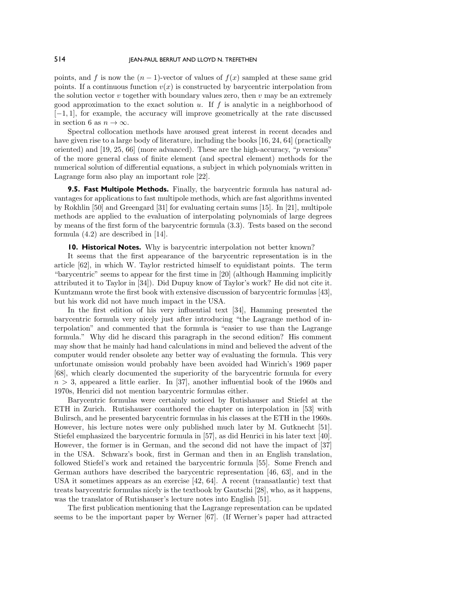points, and f is now the  $(n - 1)$ -vector of values of  $f(x)$  sampled at these same grid points. If a continuous function  $v(x)$  is constructed by barycentric interpolation from the solution vector  $v$  together with boundary values zero, then  $v$  may be an extremely good approximation to the exact solution u. If f is analytic in a neighborhood of [−1, 1], for example, the accuracy will improve geometrically at the rate discussed in section 6 as  $n \to \infty$ .

Spectral collocation methods have aroused great interest in recent decades and have given rise to a large body of literature, including the books [16, 24, 64] (practically oriented) and [19, 25, 66] (more advanced). These are the high-accuracy, "p versions" of the more general class of finite element (and spectral element) methods for the numerical solution of differential equations, a subject in which polynomials written in Lagrange form also play an important role [22].

**9.5. Fast Multipole Methods.** Finally, the barycentric formula has natural advantages for applications to fast multipole methods, which are fast algorithms invented by Rokhlin [50] and Greengard [31] for evaluating certain sums [15]. In [21], multipole methods are applied to the evaluation of interpolating polynomials of large degrees by means of the first form of the barycentric formula (3.3). Tests based on the second formula (4.2) are described in [14].

**10. Historical Notes.** Why is barycentric interpolation not better known?

It seems that the first appearance of the barycentric representation is in the article [62], in which W. Taylor restricted himself to equidistant points. The term "barycentric" seems to appear for the first time in [20] (although Hamming implicitly attributed it to Taylor in [34]). Did Dupuy knowof Taylor's work? He did not cite it. Kuntzmann wrote the first book with extensive discussion of barycentric formulas [43], but his work did not have much impact in the USA.

In the first edition of his very influential text [34], Hamming presented the barycentric formula very nicely just after introducing "the Lagrange method of interpolation" and commented that the formula is "easier to use than the Lagrange formula." Why did he discard this paragraph in the second edition? His comment may showthat he mainly had hand calculations in mind and believed the advent of the computer would render obsolete any better way of evaluating the formula. This very unfortunate omission would probably have been avoided had Winrich's 1969 paper [68], which clearly documented the superiority of the barycentric formula for every  $n > 3$ , appeared a little earlier. In [37], another influential book of the 1960s and 1970s, Henrici did not mention barycentric formulas either.

Barycentric formulas were certainly noticed by Rutishauser and Stiefel at the ETH in Zurich. Rutishauser coauthored the chapter on interpolation in [53] with Bulirsch, and he presented barycentric formulas in his classes at the ETH in the 1960s. However, his lecture notes were only published much later by M. Gutknecht [51]. Stiefel emphasized the barycentric formula in [57], as did Henrici in his later text [40]. However, the former is in German, and the second did not have the impact of [37] in the USA. Schwarz's book, first in German and then in an English translation, followed Stiefel's work and retained the barycentric formula [55]. Some French and German authors have described the barycentric representation [46, 63], and in the USA it sometimes appears as an exercise [42, 64]. A recent (transatlantic) text that treats barycentric formulas nicely is the textbook by Gautschi [28], who, as it happens, was the translator of Rutishauser's lecture notes into English [51].

The first publication mentioning that the Lagrange representation can be updated seems to be the important paper by Werner [67]. (If Werner's paper had attracted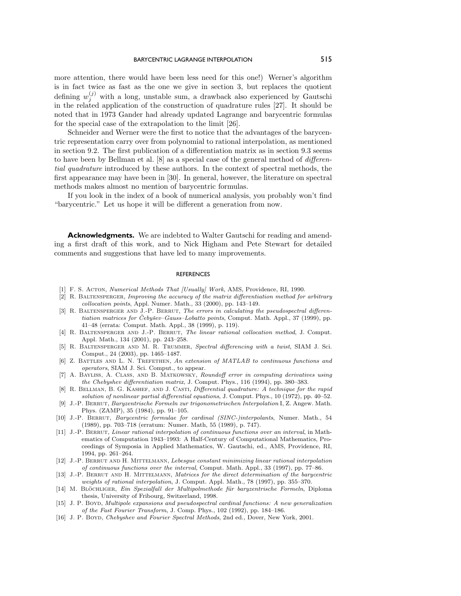more attention, there would have been less need for this one!) Werner's algorithm is in fact twice as fast as the one we give in section 3, but replaces the quotient defining  $w_j^{(j)}$  with a long, unstable sum, a drawback also experienced by Gautschi in the related application of the construction of quadrature rules [27]. It should be noted that in 1973 Gander had already updated Lagrange and barycentric formulas for the special case of the extrapolation to the limit [26].

Schneider and Werner were the first to notice that the advantages of the barycentric representation carry over from polynomial to rational interpolation, as mentioned in section 9.2. The first publication of a differentiation matrix as in section 9.3 seems to have been by Bellman et al. [8] as a special case of the general method of differential quadrature introduced by these authors. In the context of spectral methods, the first appearance may have been in [30]. In general, however, the literature on spectral methods makes almost no mention of barycentric formulas.

If you look in the index of a book of numerical analysis, you probably won't find "barycentric." Let us hope it will be different a generation from now.

**Acknowledgments.** We are indebted to Walter Gautschi for reading and amending a first draft of this work, and to Nick Higham and Pete Stewart for detailed comments and suggestions that have led to many improvements.

#### REFERENCES

- [1] F. S. Acton, Numerical Methods That [Usually] Work, AMS, Providence, RI, 1990.
- [2] R. BALTENSPERGER, Improving the accuracy of the matrix differentiation method for arbitrary collocation points, Appl. Numer. Math., 33 (2000), pp. 143–149.
- [3] R. BALTENSPERGER AND J.-P. BERRUT, The errors in calculating the pseudospectral differentiation matrices for Čebyšev–Gauss–Lobatto points, Comput. Math. Appl., 37 (1999), pp. 41–48 (errata: Comput. Math. Appl., 38 (1999), p. 119).
- [4] R. Baltensperger and J.-P. Berrut, The linear rational collocation method, J. Comput. Appl. Math., 134 (2001), pp. 243–258.
- [5] R. Baltensperger and M. R. Trummer, Spectral differencing with a twist, SIAM J. Sci. Comput., 24 (2003), pp. 1465–1487.
- [6] Z. BATTLES AND L. N. TREFETHEN, An extension of MATLAB to continuous functions and operators, SIAM J. Sci. Comput., to appear.
- [7] A. Bayliss, A. Class, and B. Matkowsky, Roundoff error in computing derivatives using the Chebyshev differentiation matrix, J. Comput. Phys., 116 (1994), pp. 380–383.
- [8] R. BELLMAN, B. G. KASHEF, AND J. CASTI, Differential quadrature: A technique for the rapid solution of nonlinear partial differential equations, J. Comput. Phys., 10 (1972), pp. 40–52.
- [9] J.-P. Berrut, Baryzentrische Formeln zur trigonometrischen Interpolation I, Z. Angew. Math. Phys. (ZAMP), 35 (1984), pp. 91–105.
- [10] J.-P. Berrut, Barycentric formulae for cardinal (SINC-)interpolants, Numer. Math., 54 (1989), pp. 703–718 (erratum: Numer. Math, 55 (1989), p. 747).
- [11] J.-P. BERRUT, Linear rational interpolation of continuous functions over an interval, in Mathematics of Computation 1943–1993: A Half-Century of Computational Mathematics, Proceedings of Symposia in Applied Mathematics, W. Gautschi, ed., AMS, Providence, RI, 1994, pp. 261–264.
- [12] J.-P. Berrut and H. Mittelmann, Lebesgue constant minimizing linear rational interpolation of continuous functions over the interval, Comput. Math. Appl., 33 (1997), pp. 77–86.
- [13] J.-P. BERRUT AND H. MITTELMANN, Matrices for the direct determination of the barycentric weights of rational interpolation, J. Comput. Appl. Math., 78 (1997), pp. 355–370.
- [14] M. BLÖCHLIGER, Ein Spezialfall der Multipolmethode für baryzentrische Formeln, Diploma thesis, University of Fribourg, Switzerland, 1998.
- [15] J. P. Boyd, Multipole expansions and pseudospectral cardinal functions: A new generalization of the Fast Fourier Transform, J. Comp. Phys., 102(1992), pp. 184–186.
- [16] J. P. BOYD, Chebyshev and Fourier Spectral Methods, 2nd ed., Dover, New York, 2001.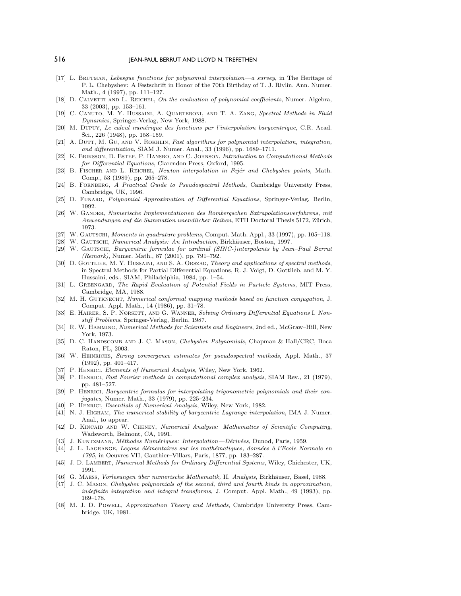- [17] L. BRUTMAN, Lebesgue functions for polynomial interpolation—a survey, in The Heritage of P. L. Chebyshev: A Festschrift in Honor of the 70th Birthday of T. J. Rivlin, Ann. Numer. Math., 4 (1997), pp. 111–127.
- [18] D. CALVETTI AND L. REICHEL, On the evaluation of polynomial coefficients, Numer. Algebra, 33 (2003), pp. 153–161.
- [19] C. Canuto, M. Y. Hussaini, A. Quarteroni, and T. A. Zang, Spectral Methods in Fluid Dynamics, Springer-Verlag, New York, 1988.
- [20] M. Dupuy, Le calcul numérique des fonctions par l'interpolation barycentrique, C.R. Acad. Sci., 226 (1948), pp. 158–159.
- [21] A. DUTT, M. GU, AND V. ROKHLIN, Fast algorithms for polynomial interpolation, integration, and differentiation, SIAM J. Numer. Anal., 33 (1996), pp. 1689–1711.
- [22] K. ERIKSSON, D. ESTEP, P. HANSBO, AND C. JOHNSON, Introduction to Computational Methods for Differential Equations, Clarendon Press, Oxford, 1995.
- [23] B. FISCHER AND L. REICHEL, Newton interpolation in Fejér and Chebyshev points, Math. Comp., 53 (1989), pp. 265–278.
- [24] B. FORNBERG, A Practical Guide to Pseudospectral Methods, Cambridge University Press, Cambridge, UK, 1996.
- [25] D. Funaro, Polynomial Approximation of Differential Equations, Springer-Verlag, Berlin, 1992.
- [26] W. Gander, Numerische Implementationen des Rombergschen Extrapolationsverfahrens, mit Anwendungen auf die Summation unendlicher Reihen, ETH Doctoral Thesis 5172, Zürich, 1973.
- [27] W. GAUTSCHI, Moments in quadrature problems, Comput. Math. Appl., 33 (1997), pp. 105–118.
- [28] W. GAUTSCHI, Numerical Analysis: An Introduction, Birkhäuser, Boston, 1997.
- [29] W. Gautschi, Barycentric formulae for cardinal (SINC-)interpolants by Jean–Paul Berrut (Remark), Numer. Math., 87 (2001), pp. 791–792.
- [30] D. GOTTLIEB, M. Y. HUSSAINI, AND S. A. ORSZAG, Theory and applications of spectral methods, in Spectral Methods for Partial Differential Equations, R. J. Voigt, D. Gottlieb, and M. Y. Hussaini, eds., SIAM, Philadelphia, 1984, pp. 1–54.
- [31] L. GREENGARD, The Rapid Evaluation of Potential Fields in Particle Systems, MIT Press, Cambridge, MA, 1988.
- [32] M. H. GUTKNECHT, Numerical conformal mapping methods based on function conjugation, J. Comput. Appl. Math., 14 (1986), pp. 31–78.
- [33] E. HAIRER, S. P. NØRSETT, AND G. WANNER, Solving Ordinary Differential Equations I. Nonstiff Problems, Springer-Verlag, Berlin, 1987.
- [34] R. W. HAMMING, Numerical Methods for Scientists and Engineers, 2nd ed., McGraw–Hill, New York, 1973.
- [35] D. C. HANDSCOMB AND J. C. MASON, Chebyshev Polynomials, Chapman & Hall/CRC, Boca Raton, FL, 2003.
- [36] W. HEINRICHS, Strong convergence estimates for pseudospectral methods, Appl. Math., 37 (1992), pp. 401–417.
- [37] P. HENRICI, Elements of Numerical Analysis, Wiley, New York, 1962.
- [38] P. HENRICI, Fast Fourier methods in computational complex analysis, SIAM Rev., 21 (1979), pp. 481–527.
- [39] P. Henrici, Barycentric formulas for interpolating trigonometric polynomials and their conjugates, Numer. Math., 33 (1979), pp. 225–234.
- [40] P. HENRICI, Essentials of Numerical Analysis, Wiley, New York, 1982.
- [41] N. J. HIGHAM, The numerical stability of barycentric Lagrange interpolation, IMA J. Numer. Anal., to appear.
- [42] D. KINCAID AND W. CHENEY, Numerical Analysis: Mathematics of Scientific Computing, Wadsworth, Belmont, CA, 1991.
- [43] J. KUNTZMANN, Méthodes Numériques: Interpolation—Dérivées, Dunod, Paris, 1959.
- [44] J. L. LAGRANGE, Leçons élémentaires sur les mathématiques, données à l'Ecole Normale en 1795, in Oeuvres VII, Gauthier–Villars, Paris, 1877, pp. 183–287.
- [45] J. D. Lambert, Numerical Methods for Ordinary Differential Systems, Wiley, Chichester, UK, 1991.
- [46] G. MAESS, Vorlesungen über numerische Mathematik, II. Analysis, Birkhäuser, Basel, 1988.
- [47] J. C. MASON, Chebyshev polynomials of the second, third and fourth kinds in approximation, indefinite integration and integral transforms, J. Comput. Appl. Math., 49 (1993), pp. 169–178.
- [48] M. J. D. Powell, Approximation Theory and Methods, Cambridge University Press, Cambridge, UK, 1981.